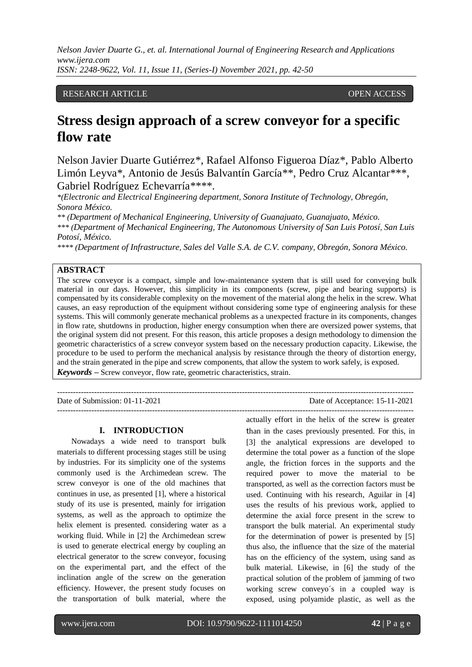## RESEARCH ARTICLE **CONSERVERS** OPEN ACCESS

# **Stress design approach of a screw conveyor for a specific flow rate**

Nelson Javier Duarte Gutiérrez\*, Rafael Alfonso Figueroa Díaz\*, Pablo Alberto Limón Leyva\*, Antonio de Jesús Balvantín García\*\*, Pedro Cruz Alcantar\*\*\*, Gabriel Rodríguez Echevarría\*\*\*\*.

*\*(Electronic and Electrical Engineering department, Sonora Institute of Technology, Obregón, Sonora México.*

*\*\* (Department of Mechanical Engineering, University of Guanajuato, Guanajuato, México.*

*\*\*\* (Department of Mechanical Engineering, The Autonomous University of San Luis Potosí, San Luis Potosí, México.*

*\*\*\*\* (Department of Infrastructure, Sales del Valle S.A. de C.V. company, Obregón, Sonora México.*

# **ABSTRACT**

The screw conveyor is a compact, simple and low-maintenance system that is still used for conveying bulk material in our days. However, this simplicity in its components (screw, pipe and bearing supports) is compensated by its considerable complexity on the movement of the material along the helix in the screw. What causes, an easy reproduction of the equipment without considering some type of engineering analysis for these systems. This will commonly generate mechanical problems as a unexpected fracture in its components, changes in flow rate, shutdowns in production, higher energy consumption when there are oversized power systems, that the original system did not present. For this reason, this article proposes a design methodology to dimension the geometric characteristics of a screw conveyor system based on the necessary production capacity. Likewise, the procedure to be used to perform the mechanical analysis by resistance through the theory of distortion energy, and the strain generated in the pipe and screw components, that allow the system to work safely, is exposed. *Keywords* **–** Screw conveyor, flow rate, geometric characteristics, strain.

---------------------------------------------------------------------------------------------------------------------------------------

---------------------------------------------------------------------------------------------------------------------------------------

Date of Submission: 01-11-2021 Date of Acceptance: 15-11-2021

## **I. INTRODUCTION**

Nowadays a wide need to transport bulk materials to different processing stages still be using by industries. For its simplicity one of the systems commonly used is the Archimedean screw. The screw conveyor is one of the old machines that continues in use, as presented [1], where a historical study of its use is presented, mainly for irrigation systems, as well as the approach to optimize the helix element is presented. considering water as a working fluid. While in [2] the Archimedean screw is used to generate electrical energy by coupling an electrical generator to the screw conveyor, focusing on the experimental part, and the effect of the inclination angle of the screw on the generation efficiency. However, the present study focuses on the transportation of bulk material, where the

actually effort in the helix of the screw is greater than in the cases previously presented. For this, in [3] the analytical expressions are developed to determine the total power as a function of the slope angle, the friction forces in the supports and the required power to move the material to be transported, as well as the correction factors must be used. Continuing with his research, Aguilar in [4] uses the results of his previous work, applied to determine the axial force present in the screw to transport the bulk material. An experimental study for the determination of power is presented by [5] thus also, the influence that the size of the material has on the efficiency of the system, using sand as bulk material. Likewise, in [6] the study of the practical solution of the problem of jamming of two working screw conveyo´s in a coupled way is exposed, using polyamide plastic, as well as the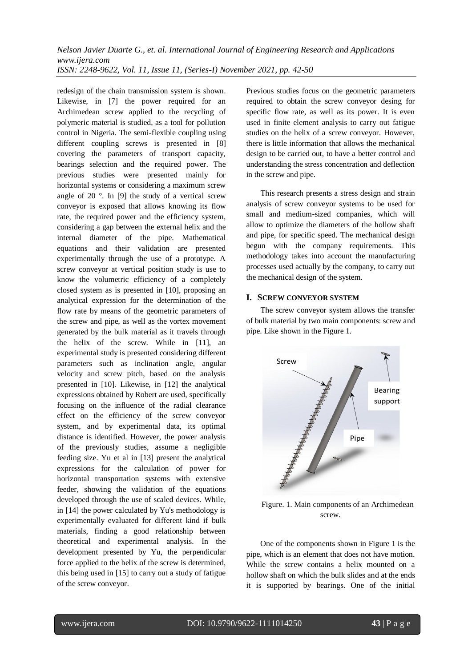redesign of the chain transmission system is shown. Likewise, in [7] the power required for an Archimedean screw applied to the recycling of polymeric material is studied, as a tool for pollution control in Nigeria. The semi-flexible coupling using different coupling screws is presented in [8] covering the parameters of transport capacity, bearings selection and the required power. The previous studies were presented mainly for horizontal systems or considering a maximum screw angle of 20 °. In [9] the study of a vertical screw conveyor is exposed that allows knowing its flow rate, the required power and the efficiency system, considering a gap between the external helix and the internal diameter of the pipe. Mathematical equations and their validation are presented experimentally through the use of a prototype. A screw conveyor at vertical position study is use to know the volumetric efficiency of a completely closed system as is presented in [10], proposing an analytical expression for the determination of the flow rate by means of the geometric parameters of the screw and pipe, as well as the vortex movement generated by the bulk material as it travels through the helix of the screw. While in [11], an experimental study is presented considering different parameters such as inclination angle, angular velocity and screw pitch, based on the analysis presented in [10]. Likewise, in [12] the analytical expressions obtained by Robert are used, specifically focusing on the influence of the radial clearance effect on the efficiency of the screw conveyor system, and by experimental data, its optimal distance is identified. However, the power analysis of the previously studies, assume a negligible feeding size. Yu et al in [13] present the analytical expressions for the calculation of power for horizontal transportation systems with extensive feeder, showing the validation of the equations developed through the use of scaled devices. While, in [14] the power calculated by Yu's methodology is experimentally evaluated for different kind if bulk materials, finding a good relationship between theoretical and experimental analysis. In the development presented by Yu, the perpendicular force applied to the helix of the screw is determined, this being used in [15] to carry out a study of fatigue of the screw conveyor.

Previous studies focus on the geometric parameters required to obtain the screw conveyor desing for specific flow rate, as well as its power. It is even used in finite element analysis to carry out fatigue studies on the helix of a screw conveyor. However, there is little information that allows the mechanical design to be carried out, to have a better control and understanding the stress concentration and deflection in the screw and pipe.

This research presents a stress design and strain analysis of screw conveyor systems to be used for small and medium-sized companies, which will allow to optimize the diameters of the hollow shaft and pipe, for specific speed. The mechanical design begun with the company requirements. This methodology takes into account the manufacturing processes used actually by the company, to carry out the mechanical design of the system.

# **I. SCREW CONVEYOR SYSTEM**

The screw conveyor system allows the transfer of bulk material by two main components: screw and pipe. Like shown in the Figure 1.



Figure. 1. Main components of an Archimedean screw.

One of the components shown in Figure 1 is the pipe, which is an element that does not have motion. While the screw contains a helix mounted on a hollow shaft on which the bulk slides and at the ends it is supported by bearings. One of the initial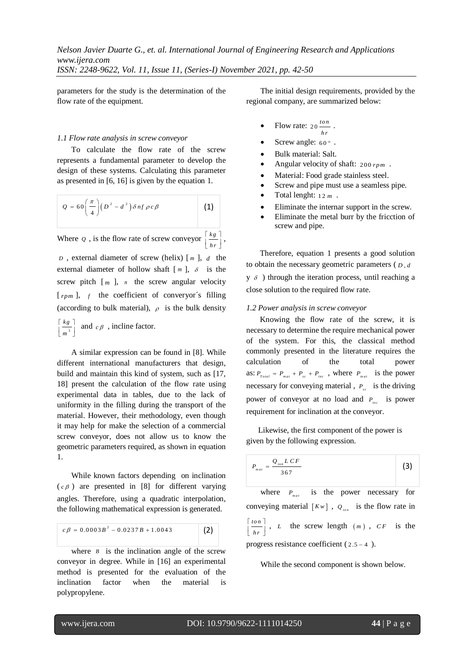parameters for the study is the determination of the flow rate of the equipment.

#### *1.1 Flow rate analysis in screw conveyor*

To calculate the flow rate of the screw represents a fundamental parameter to develop the design of these systems. Calculating this parameter as presented in [6, 16] is given by the equation 1.

$$
Q = 60\left(\frac{\pi}{4}\right)\left(D^2 - d^2\right)\delta n f \rho c \beta \qquad (1)
$$

Where  $q$ , is the flow rate of screw conveyor

$$
\text{or } \left[\frac{kg}{hr}\right]
$$

,

*D* , external diameter of screw (helix) [ *m* ], *d* the external diameter of hollow shaft  $[m]$ ,  $\delta$  is the screw pitch  $[m]$ , *n* the screw angular velocity [ $rpm$ ], f the coefficient of converyor's filling (according to bulk material),  $\rho$  is the bulk density

$$
\[\frac{k g}{m^3}\]
$$
 and  $c \beta$ , incline factor.

A similar expression can be found in [8]. While different international manufacturers that design, build and maintain this kind of system, such as [17, 18] present the calculation of the flow rate using experimental data in tables, due to the lack of uniformity in the filling during the transport of the material. However, their methodology, even though it may help for make the selection of a commercial screw conveyor, does not allow us to know the geometric parameters required, as shown in equation 1.

While known factors depending on inclination  $(c \beta)$  are presented in [8] for different varying angles. Therefore, using a quadratic interpolation, the following mathematical expression is generated.

$$
c\beta = 0.0003B^{2} - 0.0237B + 1.0043
$$
 (2)

where  $B$  is the inclination angle of the screw conveyor in degree. While in [16] an experimental method is presented for the evaluation of the inclination factor when the material is polypropylene.

The initial design requirements, provided by the regional company, are summarized below:

- Flow rate:  $20 \frac{\text{ton}}{\ }$  $\frac{\frac{\partial n}{\partial n}}{hr}$ .
- Screw angle:  $60^\circ$ .
- Bulk material: Salt.
- Angular velocity of shaft: 200 *rpm* .
- Material: Food grade stainless steel.
- Screw and pipe must use a seamless pipe.
- Total lenght:  $12 m$ .
- Eliminate the internar support in the screw.
- Eliminate the metal burr by the fricction of screw and pipe.

Therefore, equation 1 presents a good solution to obtain the necessary geometric parameters  $(D, d)$  $y \, \delta$ ) through the iteration process, until reaching a close solution to the required flow rate.

#### *1.2 Power analysis in screw conveyor*

 Knowing the flow rate of the screw, it is necessary to determine the require mechanical power of the system. For this, the classical method commonly presented in the literature requires the calculation of the total power as:  $P_{\text{Total}} = P_{\text{mat}} + P_{\text{sc}} + P_{\text{inc}}$ , where  $P_{\text{mat}}$  is the power necessary for conveying material,  $P_{sc}$  is the driving power of conveyor at no load and  $P_{inc}$  is power requirement for inclination at the conveyor.

 Likewise, the first component of the power is given by the following expression.

$$
P_{\scriptscriptstyle mat} = \frac{Q_{\scriptscriptstyle ion} L C F}{367} \tag{3}
$$

where  $P_{\text{mat}}$  is the power necessary for conveying material  $[Kw]$ ,  $Q_{\text{tot}}$  is the flow rate in *to n hr* |  $\lfloor \ln n \rfloor$  $\left[\frac{10n}{hr}\right]$ , *L* the screw length  $(m)$ , *CF* is the progress resistance coefficient  $(2.5 - 4)$ .

While the second component is shown below.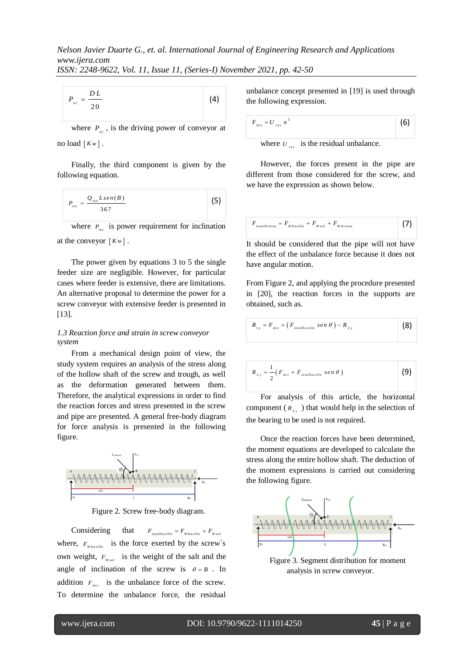| DL<br>P<br>s c<br>20 | (4) |  |
|----------------------|-----|--|
|----------------------|-----|--|

where  $P_{sc}$ , is the driving power of conveyor at no load  $\lceil Kw \rceil$ .

Finally, the third component is given by the following equation.

$$
P_{inc} = \frac{Q_{ion}Lsen(B)}{367}
$$
 (5)

where  $P_{inc}$  is power requirement for inclination at the conveyor  $\lceil Kw \rceil$ .

The power given by equations 3 to 5 the single feeder size are negligible. However, for particular cases where feeder is extensive, there are limitations. An alternative proposal to determine the power for a screw conveyor with extensive feeder is presented in [13].

## *1.3 Reaction force and strain in screw conveyor system*

From a mechanical design point of view, the study system requires an analysis of the stress along of the hollow shaft of the screw and trough, as well as the deformation generated between them. Therefore, the analytical expressions in order to find the reaction forces and stress presented in the screw and pipe are presented. A general free-body diagram for force analysis is presented in the following figure.



Figure 2. Screw free-body diagram.

Considering that  $F_{total~~,total} = F_{w_{b} + F_{w_{rad}}}~~$ </del> where,  $F_{w_{husillo}}$  is the force exerted by the screw's own weight,  $F_{w_{sal}}$  is the weight of the salt and the angle of inclination of the screw is  $\theta = B$ . In addition  $F_{des}$  is the unbalance force of the screw. To determine the unbalance force, the residual

unbalance concept presented in [19] is used through the following expression.

$$
F_{des} = U_{res} n^2 \tag{6}
$$

where  $U_{res}$  is the residual unbalance.

However, the forces present in the pipe are different from those considered for the screw, and we have the expression as shown below.

$$
F_{\text{totalArtesa}} = F_{\text{Whusillo}} + F_{\text{Warl}} + F_{\text{WArtesa}}
$$
 (7)

It should be considered that the pipe will not have the effect of the unbalance force because it does not have angular motion.

From Figure 2, and applying the procedure presented in [20], the reaction forces in the supports are obtained, such as.

$$
R_{1y} = F_{des} + (F_{total hasillo} \, \, \text{sen} \, \theta) - R_{2y} \tag{8}
$$

$$
R_{2y} = \frac{1}{2} \left( F_{des} + F_{totalhusillo} \; sen \; \theta \; \right) \tag{9}
$$

For analysis of this article, the horizontal component ( $R_{2x}$ ) that would help in the selection of the bearing to be used is not required.

Once the reaction forces have been determined, the moment equations are developed to calculate the stress along the entire hollow shaft. The deduction of the moment expressions is carried out considering the following figure.



Figure 3. Segment distribution for moment analysis in screw conveyor.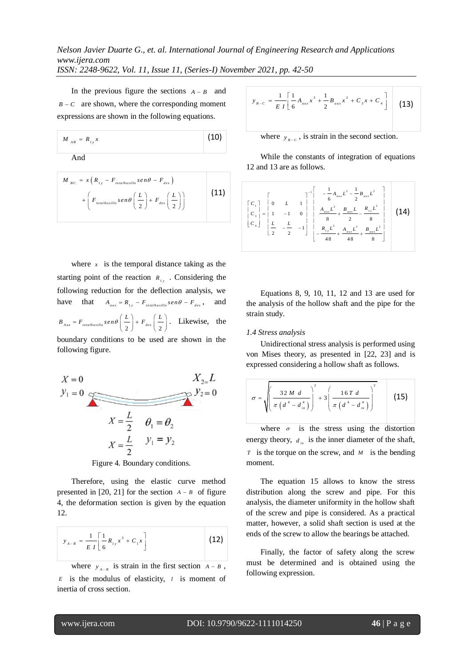In the previous figure the sections  $A - B$  and  $B - C$  are shown, where the corresponding moment expressions are shown in the following equations.

$$
M_{AB} = R_{1y} x
$$
 (10)

And

$$
M_{BC} = x (R_{1y} - F_{totalhusillo}sen\theta - F_{des}) + \left(F_{totalhusillo}sen\theta\left(\frac{L}{2}\right) + F_{des}\left(\frac{L}{2}\right)\right)
$$
 (11)

where  $x$  is the temporal distance taking as the starting point of the reaction  $R_{1y}$ . Considering the following reduction for the deflection analysis, we have that  $A_{aux} = R_{1y} - F_{total hasillo}$  *sen*  $\theta - F_{des}$ , and  $B_{Aux} = F_{total hasillo}$   $\sin\theta \left(\frac{L}{2}\right) + F_{des} \left(\frac{L}{2}\right)$ . Likewise, the boundary conditions to be used are shown in the following figure.

$$
X = 0
$$
  
\n
$$
y_1 = 0
$$
  
\n
$$
X = \frac{L}{2}
$$
  
\n
$$
X = \frac{L}{2}
$$
  
\n
$$
y_2 = 0
$$
  
\n
$$
X = \frac{L}{2}
$$
  
\n
$$
y_1 = y_2
$$

Figure 4. Boundary conditions.

Therefore, using the elastic curve method presented in  $[20, 21]$  for the section  $A - B$  of figure 4, the deformation section is given by the equation 12.

$$
y_{A-B} = \frac{1}{EI} \left[ \frac{1}{6} R_{1y} x^3 + C_1 x \right]
$$
 (12)

where  $y_{A-B}$  is strain in the first section  $A - B$ ,  $E$  is the modulus of elasticity,  $I$  is moment of inertia of cross section.

$$
y_{B-C} = \frac{1}{E I} \left[ \frac{1}{6} A_{aux} x^3 + \frac{1}{2} B_{aux} x^2 + C_3 x + C_4 \right]
$$
 (13)

where  $y_{B-c}$ , is strain in the second section.

While the constants of integration of equations 12 and 13 are as follows.

$$
\begin{bmatrix} C_1 \\ C_2 \\ C_3 \end{bmatrix} = \begin{bmatrix} 0 & L & 1 \\ 0 & L & 1 \\ 1 & -1 & 0 \\ 2 & -\frac{L}{2} & -1 \end{bmatrix} \begin{bmatrix} -\frac{1}{6}A_{aux}L^3 - \frac{1}{2}B_{aux}L^2 \\ \frac{A_{aux}L^2}{8} + \frac{B_{aux}L}{2} - \frac{R_{1y}L^2}{8} \\ \frac{R_{1y}L^3}{48} + \frac{A_{aux}L^3}{48} + \frac{B_{aux}L^2}{8} \end{bmatrix}
$$
 (14)

Equations 8, 9, 10, 11, 12 and 13 are used for the analysis of the hollow shaft and the pipe for the strain study.

## *1.4 Stress analysis*

Unidirectional stress analysis is performed using von Mises theory, as presented in [22, 23] and is expressed considering a hollow shaft as follows.

$$
\sigma = \sqrt{\left(\frac{32 M d}{\pi \left(d^4 - d_{in}^4\right)}\right)^2 + 3\left(\frac{16 T d}{\pi \left(d^4 - d_{in}^4\right)}\right)^2}
$$
 (15)

where  $\sigma$  is the stress using the distortion energy theory,  $d_{in}$  is the inner diameter of the shaft, *T* is the torque on the screw, and  $M$  is the bending moment.

The equation 15 allows to know the stress distribution along the screw and pipe. For this analysis, the diameter uniformity in the hollow shaft of the screw and pipe is considered. As a practical matter, however, a solid shaft section is used at the ends of the screw to allow the bearings be attached.

Finally, the factor of safety along the screw must be determined and is obtained using the following expression.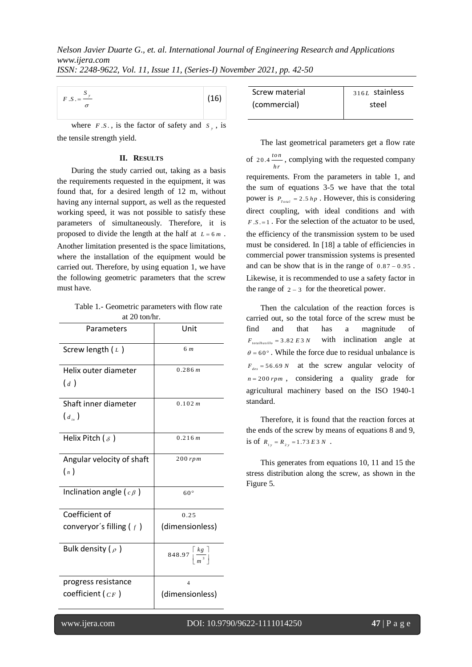| $F.S. = \frac{S_y}{S}$ | (16) |
|------------------------|------|
|                        |      |

### **II. RESULTS**

Table 1.- Geometric parameters with flow rate at 20 ton/hr.

| $F.S. = \frac{f}{f}$                                                                                                                                                                                                                                                                                                                                                                                                                                                                                                                                                                                                |                                                   | (16)       |
|---------------------------------------------------------------------------------------------------------------------------------------------------------------------------------------------------------------------------------------------------------------------------------------------------------------------------------------------------------------------------------------------------------------------------------------------------------------------------------------------------------------------------------------------------------------------------------------------------------------------|---------------------------------------------------|------------|
| where $F.S.$ , is the factor of safety and $S_{y}$ , is                                                                                                                                                                                                                                                                                                                                                                                                                                                                                                                                                             |                                                   |            |
| the tensile strength yield.                                                                                                                                                                                                                                                                                                                                                                                                                                                                                                                                                                                         |                                                   |            |
| <b>II. RESULTS</b>                                                                                                                                                                                                                                                                                                                                                                                                                                                                                                                                                                                                  |                                                   |            |
| During the study carried out, taking as a basis<br>the requirements requested in the equipment, it was<br>found that, for a desired length of 12 m, without<br>having any internal support, as well as the requested<br>working speed, it was not possible to satisfy these<br>parameters of simultaneously. Therefore, it is<br>proposed to divide the length at the half at $L = 6m$ .<br>Another limitation presented is the space limitations,<br>where the installation of the equipment would be<br>carried out. Therefore, by using equation 1, we have<br>the following geometric parameters that the screw |                                                   |            |
| must have.                                                                                                                                                                                                                                                                                                                                                                                                                                                                                                                                                                                                          |                                                   |            |
| Table 1.- Geometric parameters with flow rate<br>at 20 ton/hr.                                                                                                                                                                                                                                                                                                                                                                                                                                                                                                                                                      |                                                   |            |
| Parameters                                                                                                                                                                                                                                                                                                                                                                                                                                                                                                                                                                                                          | Unit                                              |            |
| Screw length $(L)$                                                                                                                                                                                                                                                                                                                                                                                                                                                                                                                                                                                                  | 6 m                                               |            |
| Helix outer diameter                                                                                                                                                                                                                                                                                                                                                                                                                                                                                                                                                                                                | 0.286 m                                           |            |
| (d)                                                                                                                                                                                                                                                                                                                                                                                                                                                                                                                                                                                                                 |                                                   |            |
| Shaft inner diameter<br>$\left(d_{i_n}\right)$                                                                                                                                                                                                                                                                                                                                                                                                                                                                                                                                                                      | 0.102 m                                           |            |
| Helix Pitch ( $\delta$ )                                                                                                                                                                                                                                                                                                                                                                                                                                                                                                                                                                                            | 0.216 m                                           |            |
| Angular velocity of shaft<br>$\binom{n}{n}$                                                                                                                                                                                                                                                                                                                                                                                                                                                                                                                                                                         | $200$ rpm                                         |            |
| Inclination angle ( $c \beta$ )                                                                                                                                                                                                                                                                                                                                                                                                                                                                                                                                                                                     | $60^{\circ}$                                      |            |
| Coefficient of                                                                                                                                                                                                                                                                                                                                                                                                                                                                                                                                                                                                      | 0.25                                              |            |
| converyor's filling $(f)$                                                                                                                                                                                                                                                                                                                                                                                                                                                                                                                                                                                           | (dimensionless)                                   |            |
| Bulk density ( $\rho$ )                                                                                                                                                                                                                                                                                                                                                                                                                                                                                                                                                                                             | 848.97 $\left\lceil \frac{k g}{m^3} \right\rceil$ |            |
| progress resistance<br>coefficient ( $CF$ )                                                                                                                                                                                                                                                                                                                                                                                                                                                                                                                                                                         | 4<br>(dimensionless)                              |            |
| www.ijera.com                                                                                                                                                                                                                                                                                                                                                                                                                                                                                                                                                                                                       |                                                   | DOI: 10.97 |
|                                                                                                                                                                                                                                                                                                                                                                                                                                                                                                                                                                                                                     |                                                   |            |

| Screw material | $316L$ stainless |
|----------------|------------------|
| (commercial)   | steel            |

The last geometrical parameters get a flow rate of  $20.4 \frac{ton}{ }$  $\frac{\partial h}{\partial r}$ , complying with the requested company requirements. From the parameters in table 1, and the sum of equations 3-5 we have that the total power is  $P_{\text{Total}} = 2.5 \, hp$ . However, this is considering direct coupling, with ideal conditions and with  $F.S.=1$ . For the selection of the actuator to be used, the efficiency of the transmission system to be used must be considered. In [18] a table of efficiencies in commercial power transmission systems is presented and can be show that is in the range of  $0.87 - 0.95$ . Likewise, it is recommended to use a safety factor in the range of  $2 - 3$  for the theoretical power.

Then the calculation of the reaction forces is carried out, so the total force of the screw must be find and that has a magnitude of  $F_{totalhusillo} = 3.82 E 3 N$ with inclination angle at  $\theta = 60^{\circ}$ . While the force due to residual unbalance is  $F_{des} = 56.69 \text{ N}$  at the screw angular velocity of  $n = 200$  *rpm*, considering a quality grade for agricultural machinery based on the ISO 1940-1 standard.

Therefore, it is found that the reaction forces at the ends of the screw by means of equations 8 and 9, is of  $R_{1y} = R_{2y} = 1.73 E3 N$ .

This generates from equations 10, 11 and 15 the stress distribution along the screw, as shown in the Figure 5.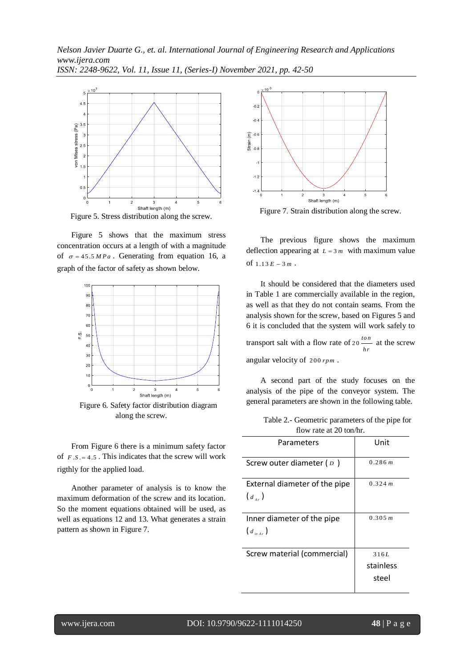

Figure 5. Stress distribution along the screw.

Figure 5 shows that the maximum stress concentration occurs at a length of with a magnitude of  $\sigma = 45.5 MPa$ . Generating from equation 16, a graph of the factor of safety as shown below.



Figure 6. Safety factor distribution diagram along the screw.

From Figure 6 there is a minimum safety factor of  $F.S. = 4.5$ . This indicates that the screw will work rigthly for the applied load.

Another parameter of analysis is to know the maximum deformation of the screw and its location. So the moment equations obtained will be used, as well as equations 12 and 13. What generates a strain pattern as shown in Figure 7.



Figure 7. Strain distribution along the screw.

The previous figure shows the maximum deflection appearing at  $L = 3m$  with maximum value of  $1.13 E - 3 m$ .

It should be considered that the diameters used in Table 1 are commercially available in the region, as well as that they do not contain seams. From the analysis shown for the screw, based on Figures 5 and 6 it is concluded that the system will work safely to transport salt with a flow rate of  $20 \frac{\text{ton}}{2}$  $\frac{bn}{hr}$  at the screw angular velocity of 200 *rpm* .

A second part of the study focuses on the analysis of the pipe of the conveyor system. The general parameters are shown in the following table.

Table 2.- Geometric parameters of the pipe for flow rate at 20 ton/hr.

| Parameters                                    | Unit                       |  |
|-----------------------------------------------|----------------------------|--|
| Screw outer diameter ( $\overline{D}$ )       | 0.286 m                    |  |
| External diameter of the pipe<br>$(d_{\mu})$  | 0.324 m                    |  |
| Inner diameter of the pipe<br>$(d_{i_{max}})$ | 0.305 m                    |  |
| Screw material (commercial)                   | 316L<br>stainless<br>steel |  |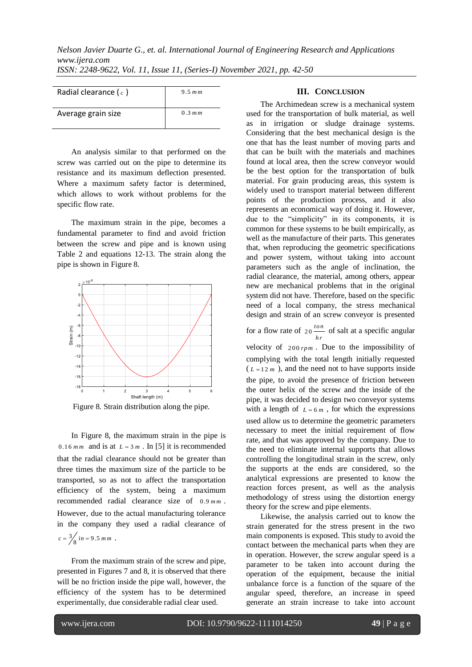| Radial clearance ( $c$ ) | 9.5 $mm$  |
|--------------------------|-----------|
| Average grain size       | $0.3$ m m |

An analysis similar to that performed on the screw was carried out on the pipe to determine its resistance and its maximum deflection presented. Where a maximum safety factor is determined, which allows to work without problems for the specific flow rate.

The maximum strain in the pipe, becomes a fundamental parameter to find and avoid friction between the screw and pipe and is known using Table 2 and equations 12-13. The strain along the pipe is shown in Figure 8.



Figure 8. Strain distribution along the pipe.

In Figure 8, the maximum strain in the pipe is 0.16  $mm$  and is at  $L = 3m$ . In [5] it is recommended that the radial clearance should not be greater than three times the maximum size of the particle to be transported, so as not to affect the transportation efficiency of the system, being a maximum recommended radial clearance size of 0.9 *mm* . However, due to the actual manufacturing tolerance in the company they used a radial clearance of  $c = \frac{3}{8}$  in = 9.5 mm.

From the maximum strain of the screw and pipe, presented in Figures 7 and 8, it is observed that there will be no friction inside the pipe wall, however, the efficiency of the system has to be determined experimentally, due considerable radial clear used.

## **III. CONCLUSION**

The Archimedean screw is a mechanical system used for the transportation of bulk material, as well as in irrigation or sludge drainage systems. Considering that the best mechanical design is the one that has the least number of moving parts and that can be built with the materials and machines found at local area, then the screw conveyor would be the best option for the transportation of bulk material. For grain producing areas, this system is widely used to transport material between different points of the production process, and it also represents an economical way of doing it. However, due to the "simplicity" in its components, it is common for these systems to be built empirically, as well as the manufacture of their parts. This generates that, when reproducing the geometric specifications and power system, without taking into account parameters such as the angle of inclination, the radial clearance, the material, among others, appear new are mechanical problems that in the original system did not have. Therefore, based on the specific need of a local company, the stress mechanical design and strain of an screw conveyor is presented

for a flow rate of  $20 \frac{ton}{m}$  $\frac{\partial h}{\partial r}$  of salt at a specific angular

velocity of  $200$  *rpm*. Due to the impossibility of complying with the total length initially requested  $(L=12 m)$ , and the need not to have supports inside the pipe, to avoid the presence of friction between the outer helix of the screw and the inside of the pipe, it was decided to design two conveyor systems with a length of  $L = 6m$ , for which the expressions used allow us to determine the geometric parameters necessary to meet the initial requirement of flow rate, and that was approved by the company. Due to the need to eliminate internal supports that allows controlling the longitudinal strain in the screw, only the supports at the ends are considered, so the analytical expressions are presented to know the reaction forces present, as well as the analysis methodology of stress using the distortion energy theory for the screw and pipe elements.

Likewise, the analysis carried out to know the strain generated for the stress present in the two main components is exposed. This study to avoid the contact between the mechanical parts when they are in operation. However, the screw angular speed is a parameter to be taken into account during the operation of the equipment, because the initial unbalance force is a function of the square of the angular speed, therefore, an increase in speed generate an strain increase to take into account